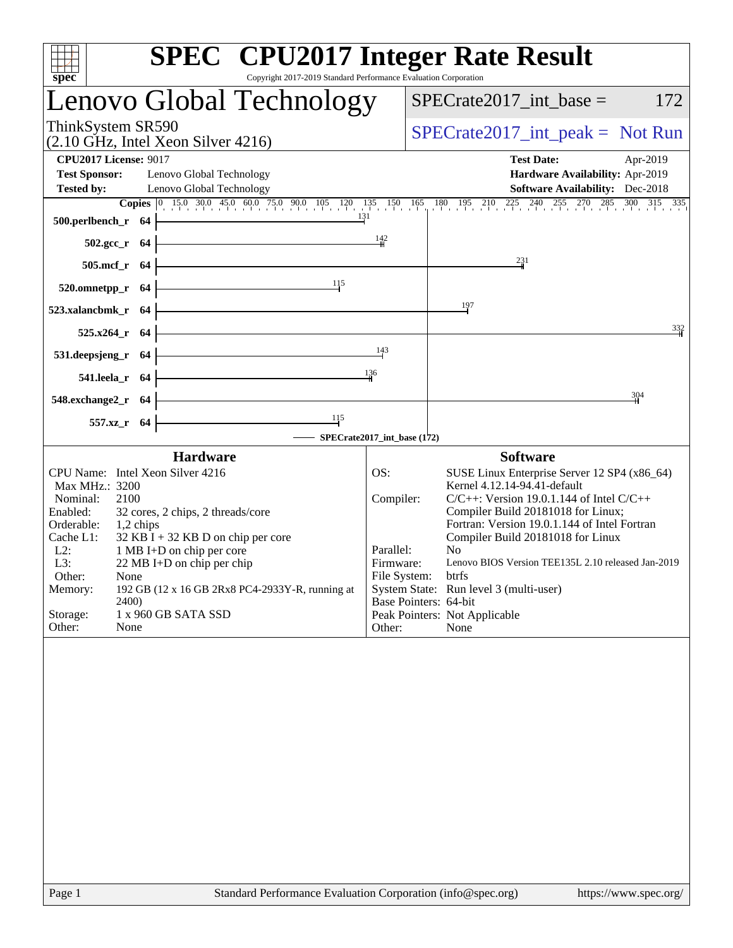| Copyright 2017-2019 Standard Performance Evaluation Corporation<br>spec <sup>®</sup>                                                                                                                                                                                                                                                                                                                                                                           |                                                      | <b>SPEC<sup>®</sup></b> CPU2017 Integer Rate Result                                                                                                                                                                                                                                                                                                                                                                                                                                      |                 |
|----------------------------------------------------------------------------------------------------------------------------------------------------------------------------------------------------------------------------------------------------------------------------------------------------------------------------------------------------------------------------------------------------------------------------------------------------------------|------------------------------------------------------|------------------------------------------------------------------------------------------------------------------------------------------------------------------------------------------------------------------------------------------------------------------------------------------------------------------------------------------------------------------------------------------------------------------------------------------------------------------------------------------|-----------------|
| Lenovo Global Technology                                                                                                                                                                                                                                                                                                                                                                                                                                       | $SPECrate2017\_int\_base =$                          | 172                                                                                                                                                                                                                                                                                                                                                                                                                                                                                      |                 |
| ThinkSystem SR590<br>$(2.10 \text{ GHz}, \text{Intel Xeon Silver } 4216)$                                                                                                                                                                                                                                                                                                                                                                                      | $SPECrate2017\_int\_peak = Not Run$                  |                                                                                                                                                                                                                                                                                                                                                                                                                                                                                          |                 |
| <b>CPU2017 License: 9017</b><br><b>Test Sponsor:</b><br>Lenovo Global Technology<br><b>Tested by:</b><br>Lenovo Global Technology                                                                                                                                                                                                                                                                                                                              |                                                      | <b>Test Date:</b><br>Apr-2019<br>Hardware Availability: Apr-2019<br><b>Software Availability:</b> Dec-2018<br><b>Copies</b> $\begin{bmatrix} 0 & 15 & 03 & 0 & 45 & 0 & 60 & 75 & 0 & 90 & 105 & 120 & 135 & 150 & 165 & 180 & 195 & 210 & 225 & 240 & 255 & 270 & 285 & 300 & 315 & 335 \end{bmatrix}$                                                                                                                                                                                  |                 |
| 500.perlbench_r 64<br>502.gcc_r 64                                                                                                                                                                                                                                                                                                                                                                                                                             | 131<br>$\frac{142}{1}$                               |                                                                                                                                                                                                                                                                                                                                                                                                                                                                                          |                 |
| 505.mcf_r 64                                                                                                                                                                                                                                                                                                                                                                                                                                                   |                                                      | 231                                                                                                                                                                                                                                                                                                                                                                                                                                                                                      |                 |
| 115<br>520.omnetpp_r 64                                                                                                                                                                                                                                                                                                                                                                                                                                        |                                                      |                                                                                                                                                                                                                                                                                                                                                                                                                                                                                          |                 |
| 523.xalancbmk r 64                                                                                                                                                                                                                                                                                                                                                                                                                                             |                                                      | 197                                                                                                                                                                                                                                                                                                                                                                                                                                                                                      | $\frac{332}{4}$ |
| 525.x264_r 64<br>531.deepsjeng_r 64                                                                                                                                                                                                                                                                                                                                                                                                                            | 143                                                  |                                                                                                                                                                                                                                                                                                                                                                                                                                                                                          |                 |
| 541.leela_r 64                                                                                                                                                                                                                                                                                                                                                                                                                                                 | $\frac{136}{4}$                                      |                                                                                                                                                                                                                                                                                                                                                                                                                                                                                          |                 |
| 548.exchange2_r 64                                                                                                                                                                                                                                                                                                                                                                                                                                             |                                                      | 304                                                                                                                                                                                                                                                                                                                                                                                                                                                                                      |                 |
| $\frac{115}{1}$<br>557.xz_r 64                                                                                                                                                                                                                                                                                                                                                                                                                                 | - SPECrate2017_int_base (172)                        |                                                                                                                                                                                                                                                                                                                                                                                                                                                                                          |                 |
| <b>Hardware</b><br>CPU Name: Intel Xeon Silver 4216<br>Max MHz.: 3200<br>2100<br>Nominal:<br>Enabled:<br>32 cores, 2 chips, 2 threads/core<br>Orderable:<br>1,2 chips<br>$32$ KB I + 32 KB D on chip per core<br>Cache L1:<br>$L2$ :<br>1 MB I+D on chip per core<br>L3:<br>$22 \text{ MB I+D}$ on chip per chip<br>Other:<br>None<br>Memory:<br>192 GB (12 x 16 GB 2Rx8 PC4-2933Y-R, running at<br>2400)<br>Storage:<br>1 x 960 GB SATA SSD<br>Other:<br>None | OS:<br>Compiler:<br>Parallel:<br>Firmware:<br>Other: | <b>Software</b><br>SUSE Linux Enterprise Server 12 SP4 (x86_64)<br>Kernel 4.12.14-94.41-default<br>$C/C++$ : Version 19.0.1.144 of Intel $C/C++$<br>Compiler Build 20181018 for Linux;<br>Fortran: Version 19.0.1.144 of Intel Fortran<br>Compiler Build 20181018 for Linux<br>N <sub>0</sub><br>Lenovo BIOS Version TEE135L 2.10 released Jan-2019<br>File System:<br>btrfs<br>System State: Run level 3 (multi-user)<br>Base Pointers: 64-bit<br>Peak Pointers: Not Applicable<br>None |                 |
|                                                                                                                                                                                                                                                                                                                                                                                                                                                                |                                                      |                                                                                                                                                                                                                                                                                                                                                                                                                                                                                          |                 |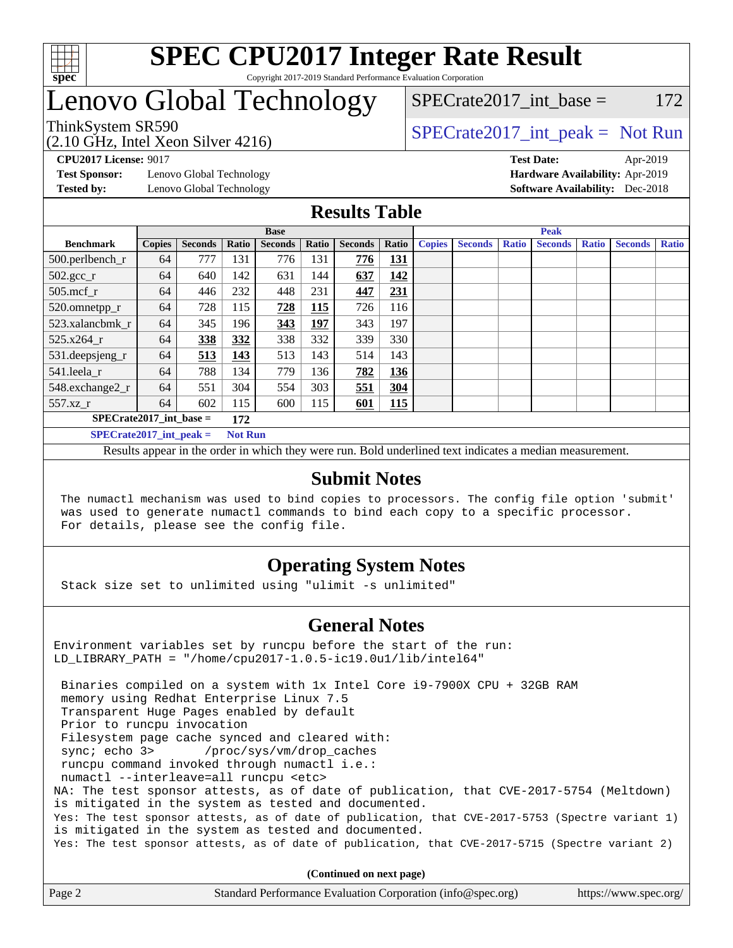

# Lenovo Global Technology

(2.10 GHz, Intel Xeon Silver 4216)

ThinkSystem SR590<br>  $SPECTR_{12}$  [SPECrate2017\\_int\\_peak =](http://www.spec.org/auto/cpu2017/Docs/result-fields.html#SPECrate2017intpeak) Not Run SPECrate2017 int\_base =  $172$ 

**[Test Sponsor:](http://www.spec.org/auto/cpu2017/Docs/result-fields.html#TestSponsor)** Lenovo Global Technology **[Hardware Availability:](http://www.spec.org/auto/cpu2017/Docs/result-fields.html#HardwareAvailability)** Apr-2019

**[CPU2017 License:](http://www.spec.org/auto/cpu2017/Docs/result-fields.html#CPU2017License)** 9017 **[Test Date:](http://www.spec.org/auto/cpu2017/Docs/result-fields.html#TestDate)** Apr-2019 **[Tested by:](http://www.spec.org/auto/cpu2017/Docs/result-fields.html#Testedby)** Lenovo Global Technology **[Software Availability:](http://www.spec.org/auto/cpu2017/Docs/result-fields.html#SoftwareAvailability)** Dec-2018

## **[Results Table](http://www.spec.org/auto/cpu2017/Docs/result-fields.html#ResultsTable)**

|                                             | <b>Base</b>   |                |       |                | <b>Peak</b> |                |            |               |                |              |                |              |                |              |
|---------------------------------------------|---------------|----------------|-------|----------------|-------------|----------------|------------|---------------|----------------|--------------|----------------|--------------|----------------|--------------|
| <b>Benchmark</b>                            | <b>Copies</b> | <b>Seconds</b> | Ratio | <b>Seconds</b> | Ratio       | <b>Seconds</b> | Ratio      | <b>Copies</b> | <b>Seconds</b> | <b>Ratio</b> | <b>Seconds</b> | <b>Ratio</b> | <b>Seconds</b> | <b>Ratio</b> |
| 500.perlbench_r                             | 64            | 777            | 131   | 776            | 131         | 776            | 131        |               |                |              |                |              |                |              |
| $502.\text{gcc}_r$                          | 64            | 640            | 142   | 631            | 144         | 637            | 142        |               |                |              |                |              |                |              |
| $505$ .mcf r                                | 64            | 446            | 232   | 448            | 231         | 447            | 231        |               |                |              |                |              |                |              |
| 520.omnetpp_r                               | 64            | 728            | 115   | 728            | 115         | 726            | 116        |               |                |              |                |              |                |              |
| 523.xalancbmk r                             | 64            | 345            | 196   | 343            | 197         | 343            | 197        |               |                |              |                |              |                |              |
| 525.x264 r                                  | 64            | 338            | 332   | 338            | 332         | 339            | 330        |               |                |              |                |              |                |              |
| 531.deepsjeng_r                             | 64            | 513            | 143   | 513            | 143         | 514            | 143        |               |                |              |                |              |                |              |
| 541.leela r                                 | 64            | 788            | 134   | 779            | 136         | 782            | 136        |               |                |              |                |              |                |              |
| 548.exchange2_r                             | 64            | 551            | 304   | 554            | 303         | 551            | 304        |               |                |              |                |              |                |              |
| 557.xz                                      | 64            | 602            | 115   | 600            | 115         | 601            | <b>115</b> |               |                |              |                |              |                |              |
| $SPECrate2017\_int\_base =$<br>172          |               |                |       |                |             |                |            |               |                |              |                |              |                |              |
| $SPECrate2017$ int peak =<br><b>Not Run</b> |               |                |       |                |             |                |            |               |                |              |                |              |                |              |

Results appear in the [order in which they were run](http://www.spec.org/auto/cpu2017/Docs/result-fields.html#RunOrder). Bold underlined text [indicates a median measurement](http://www.spec.org/auto/cpu2017/Docs/result-fields.html#Median).

## **[Submit Notes](http://www.spec.org/auto/cpu2017/Docs/result-fields.html#SubmitNotes)**

 The numactl mechanism was used to bind copies to processors. The config file option 'submit' was used to generate numactl commands to bind each copy to a specific processor. For details, please see the config file.

## **[Operating System Notes](http://www.spec.org/auto/cpu2017/Docs/result-fields.html#OperatingSystemNotes)**

Stack size set to unlimited using "ulimit -s unlimited"

## **[General Notes](http://www.spec.org/auto/cpu2017/Docs/result-fields.html#GeneralNotes)**

Environment variables set by runcpu before the start of the run: LD\_LIBRARY\_PATH = "/home/cpu2017-1.0.5-ic19.0u1/lib/intel64"

 Binaries compiled on a system with 1x Intel Core i9-7900X CPU + 32GB RAM memory using Redhat Enterprise Linux 7.5 Transparent Huge Pages enabled by default Prior to runcpu invocation Filesystem page cache synced and cleared with: sync; echo 3> /proc/sys/vm/drop\_caches runcpu command invoked through numactl i.e.: numactl --interleave=all runcpu <etc> NA: The test sponsor attests, as of date of publication, that CVE-2017-5754 (Meltdown) is mitigated in the system as tested and documented. Yes: The test sponsor attests, as of date of publication, that CVE-2017-5753 (Spectre variant 1) is mitigated in the system as tested and documented. Yes: The test sponsor attests, as of date of publication, that CVE-2017-5715 (Spectre variant 2)

**(Continued on next page)**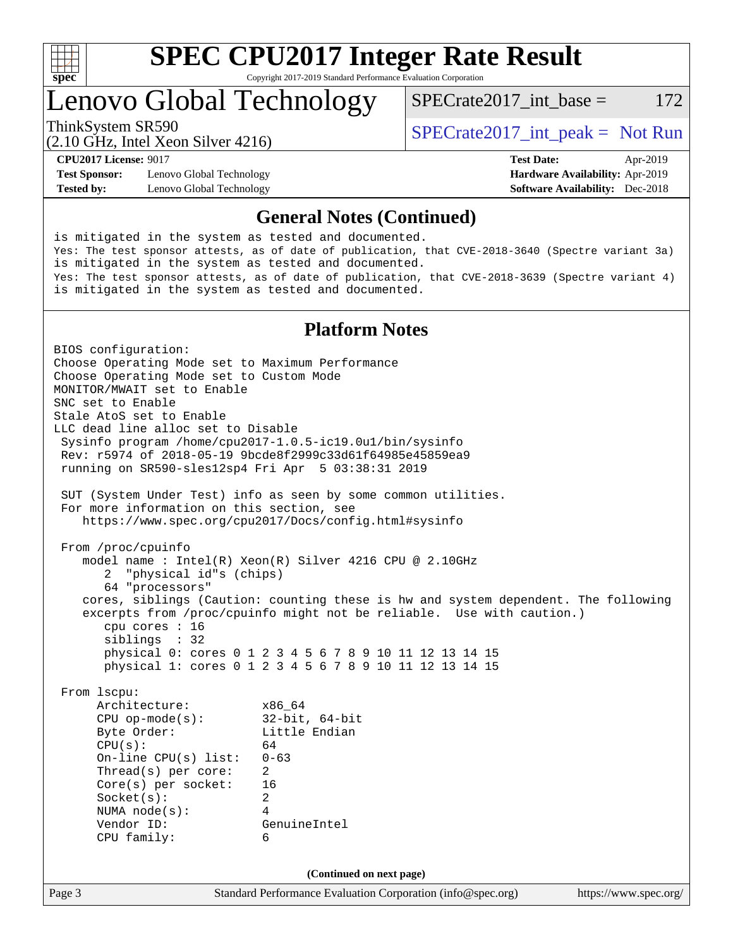

## Lenovo Global Technology

ThinkSystem SR590<br>  $SPECTA = Not Run$ <br>  $SPECTA = Not Run$ 

SPECrate2017 int\_base =  $172$ 

(2.10 GHz, Intel Xeon Silver 4216)

**[Test Sponsor:](http://www.spec.org/auto/cpu2017/Docs/result-fields.html#TestSponsor)** Lenovo Global Technology **[Hardware Availability:](http://www.spec.org/auto/cpu2017/Docs/result-fields.html#HardwareAvailability)** Apr-2019 **[Tested by:](http://www.spec.org/auto/cpu2017/Docs/result-fields.html#Testedby)** Lenovo Global Technology **[Software Availability:](http://www.spec.org/auto/cpu2017/Docs/result-fields.html#SoftwareAvailability)** Dec-2018

**[CPU2017 License:](http://www.spec.org/auto/cpu2017/Docs/result-fields.html#CPU2017License)** 9017 **[Test Date:](http://www.spec.org/auto/cpu2017/Docs/result-fields.html#TestDate)** Apr-2019

## **[General Notes \(Continued\)](http://www.spec.org/auto/cpu2017/Docs/result-fields.html#GeneralNotes)**

is mitigated in the system as tested and documented. Yes: The test sponsor attests, as of date of publication, that CVE-2018-3640 (Spectre variant 3a) is mitigated in the system as tested and documented. Yes: The test sponsor attests, as of date of publication, that CVE-2018-3639 (Spectre variant 4) is mitigated in the system as tested and documented.

## **[Platform Notes](http://www.spec.org/auto/cpu2017/Docs/result-fields.html#PlatformNotes)**

Page 3 Standard Performance Evaluation Corporation [\(info@spec.org\)](mailto:info@spec.org) <https://www.spec.org/> BIOS configuration: Choose Operating Mode set to Maximum Performance Choose Operating Mode set to Custom Mode MONITOR/MWAIT set to Enable SNC set to Enable Stale AtoS set to Enable LLC dead line alloc set to Disable Sysinfo program /home/cpu2017-1.0.5-ic19.0u1/bin/sysinfo Rev: r5974 of 2018-05-19 9bcde8f2999c33d61f64985e45859ea9 running on SR590-sles12sp4 Fri Apr 5 03:38:31 2019 SUT (System Under Test) info as seen by some common utilities. For more information on this section, see <https://www.spec.org/cpu2017/Docs/config.html#sysinfo> From /proc/cpuinfo model name : Intel(R) Xeon(R) Silver 4216 CPU @ 2.10GHz 2 "physical id"s (chips) 64 "processors" cores, siblings (Caution: counting these is hw and system dependent. The following excerpts from /proc/cpuinfo might not be reliable. Use with caution.) cpu cores : 16 siblings : 32 physical 0: cores 0 1 2 3 4 5 6 7 8 9 10 11 12 13 14 15 physical 1: cores 0 1 2 3 4 5 6 7 8 9 10 11 12 13 14 15 From lscpu: Architecture: x86\_64 CPU op-mode(s): 32-bit, 64-bit Byte Order: Little Endian  $CPU(s):$  64 On-line CPU(s) list: 0-63 Thread(s) per core: 2 Core(s) per socket: 16 Socket(s): 2 NUMA node(s): 4 Vendor ID: GenuineIntel CPU family: 6 **(Continued on next page)**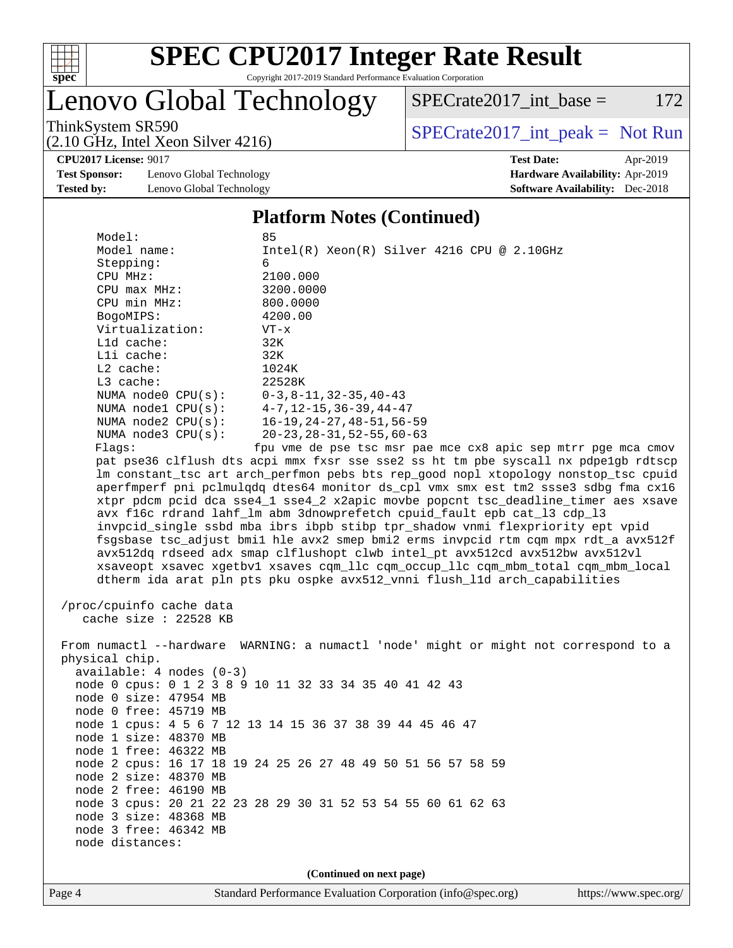

# Lenovo Global Technology

ThinkSystem SR590<br>  $\begin{array}{r} \text{SPECrate2017\_int\_peak = Not Run} \\ \text{SPECrate2017\_int\_peak = Not Run} \end{array}$ 

 $SPECTate2017\_int\_base = 172$ 

(2.10 GHz, Intel Xeon Silver 4216)

**[Test Sponsor:](http://www.spec.org/auto/cpu2017/Docs/result-fields.html#TestSponsor)** Lenovo Global Technology **[Hardware Availability:](http://www.spec.org/auto/cpu2017/Docs/result-fields.html#HardwareAvailability)** Apr-2019 **[Tested by:](http://www.spec.org/auto/cpu2017/Docs/result-fields.html#Testedby)** Lenovo Global Technology **[Software Availability:](http://www.spec.org/auto/cpu2017/Docs/result-fields.html#SoftwareAvailability)** Dec-2018

**[CPU2017 License:](http://www.spec.org/auto/cpu2017/Docs/result-fields.html#CPU2017License)** 9017 **[Test Date:](http://www.spec.org/auto/cpu2017/Docs/result-fields.html#TestDate)** Apr-2019

#### **[Platform Notes \(Continued\)](http://www.spec.org/auto/cpu2017/Docs/result-fields.html#PlatformNotes)**

| Model:                   |                            | 85                                                                                   |
|--------------------------|----------------------------|--------------------------------------------------------------------------------------|
| Model name:              |                            | $Intel(R) Xeon(R) Silver 4216 CPU @ 2.10GHz$                                         |
| Stepping:                |                            | 6                                                                                    |
| CPU MHz:                 |                            | 2100.000                                                                             |
| $CPU$ max $MHz$ :        |                            | 3200.0000                                                                            |
| CPU min MHz:             |                            | 800,0000                                                                             |
| BogoMIPS:                |                            | 4200.00                                                                              |
| Virtualization:          |                            | $VT - x$                                                                             |
| Lld cache:               |                            | 32K                                                                                  |
| Lli cache:               |                            | 32K                                                                                  |
| $L2$ cache:              |                            | 1024K                                                                                |
| L3 cache:                |                            | 22528K                                                                               |
|                          |                            | NUMA node0 CPU(s): 0-3,8-11,32-35,40-43                                              |
|                          |                            | NUMA nodel CPU(s): 4-7, 12-15, 36-39, 44-47                                          |
|                          |                            | NUMA node2 CPU(s): 16-19, 24-27, 48-51, 56-59                                        |
|                          | NUMA $node3$ $CPU(s):$     | 20-23, 28-31, 52-55, 60-63                                                           |
| Flaqs:                   |                            | fpu vme de pse tsc msr pae mce cx8 apic sep mtrr pge mca cmov                        |
|                          |                            | pat pse36 clflush dts acpi mmx fxsr sse sse2 ss ht tm pbe syscall nx pdpelgb rdtscp  |
|                          |                            | lm constant_tsc art arch_perfmon pebs bts rep_good nopl xtopology nonstop_tsc cpuid  |
|                          |                            | aperfmperf pni pclmulqdq dtes64 monitor ds_cpl vmx smx est tm2 ssse3 sdbg fma cx16   |
|                          |                            | xtpr pdcm pcid dca sse4_1 sse4_2 x2apic movbe popcnt tsc_deadline_timer aes xsave    |
|                          |                            | avx f16c rdrand lahf_lm abm 3dnowprefetch cpuid_fault epb cat_13 cdp_13              |
|                          |                            | invpcid_single ssbd mba ibrs ibpb stibp tpr_shadow vnmi flexpriority ept vpid        |
|                          |                            | fsgsbase tsc_adjust bmil hle avx2 smep bmi2 erms invpcid rtm cqm mpx rdt_a avx512f   |
|                          |                            | avx512dq rdseed adx smap clflushopt clwb intel_pt avx512cd avx512bw avx512vl         |
|                          |                            | xsaveopt xsavec xgetbvl xsaves cqm_llc cqm_occup_llc cqm_mbm_total cqm_mbm_local     |
|                          |                            | dtherm ida arat pln pts pku ospke avx512_vnni flush_lld arch_capabilities            |
|                          |                            |                                                                                      |
| /proc/cpuinfo cache data |                            |                                                                                      |
|                          | cache size : 22528 $KB$    |                                                                                      |
|                          |                            | From numactl --hardware WARNING: a numactl 'node' might or might not correspond to a |
| physical chip.           |                            |                                                                                      |
|                          | $available: 4 nodes (0-3)$ |                                                                                      |
|                          |                            | .                                                                                    |

 node 0 cpus: 0 1 2 3 8 9 10 11 32 33 34 35 40 41 42 43 node 0 size: 47954 MB node 0 free: 45719 MB node 1 cpus: 4 5 6 7 12 13 14 15 36 37 38 39 44 45 46 47 node 1 size: 48370 MB node 1 free: 46322 MB node 2 cpus: 16 17 18 19 24 25 26 27 48 49 50 51 56 57 58 59 node 2 size: 48370 MB node 2 free: 46190 MB node 3 cpus: 20 21 22 23 28 29 30 31 52 53 54 55 60 61 62 63 node 3 size: 48368 MB node 3 free: 46342 MB node distances:

**(Continued on next page)**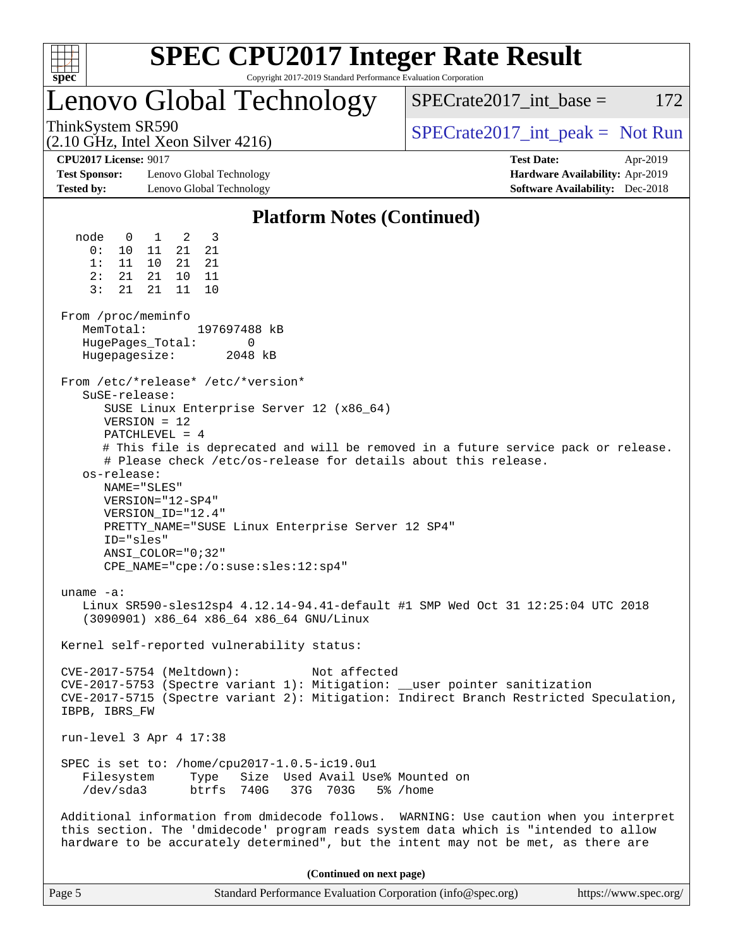

## Lenovo Global Technology

ThinkSystem SR590<br>  $SPECTR_{12}$  [SPECrate2017\\_int\\_peak =](http://www.spec.org/auto/cpu2017/Docs/result-fields.html#SPECrate2017intpeak) Not Run

 $SPECTate2017\_int\_base = 172$ 

**[Test Sponsor:](http://www.spec.org/auto/cpu2017/Docs/result-fields.html#TestSponsor)** Lenovo Global Technology **[Hardware Availability:](http://www.spec.org/auto/cpu2017/Docs/result-fields.html#HardwareAvailability)** Apr-2019 **[Tested by:](http://www.spec.org/auto/cpu2017/Docs/result-fields.html#Testedby)** Lenovo Global Technology **[Software Availability:](http://www.spec.org/auto/cpu2017/Docs/result-fields.html#SoftwareAvailability)** Dec-2018

(2.10 GHz, Intel Xeon Silver 4216)

**[CPU2017 License:](http://www.spec.org/auto/cpu2017/Docs/result-fields.html#CPU2017License)** 9017 **[Test Date:](http://www.spec.org/auto/cpu2017/Docs/result-fields.html#TestDate)** Apr-2019

#### **[Platform Notes \(Continued\)](http://www.spec.org/auto/cpu2017/Docs/result-fields.html#PlatformNotes)**

 node 0 1 2 3 0: 10 11 21 21 1: 11 10 21 21 2: 21 21 10 11 3: 21 21 11 10 From /proc/meminfo MemTotal: 197697488 kB HugePages\_Total: 0 Hugepagesize: 2048 kB From /etc/\*release\* /etc/\*version\* SuSE-release: SUSE Linux Enterprise Server 12 (x86\_64) VERSION = 12 PATCHLEVEL = 4 # This file is deprecated and will be removed in a future service pack or release. # Please check /etc/os-release for details about this release. os-release: NAME="SLES" VERSION="12-SP4" VERSION\_ID="12.4" PRETTY\_NAME="SUSE Linux Enterprise Server 12 SP4" ID="sles" ANSI\_COLOR="0;32" CPE\_NAME="cpe:/o:suse:sles:12:sp4" uname -a: Linux SR590-sles12sp4 4.12.14-94.41-default #1 SMP Wed Oct 31 12:25:04 UTC 2018 (3090901) x86\_64 x86\_64 x86\_64 GNU/Linux Kernel self-reported vulnerability status: CVE-2017-5754 (Meltdown): Not affected CVE-2017-5753 (Spectre variant 1): Mitigation: \_\_user pointer sanitization CVE-2017-5715 (Spectre variant 2): Mitigation: Indirect Branch Restricted Speculation, IBPB, IBRS\_FW run-level 3 Apr 4 17:38 SPEC is set to: /home/cpu2017-1.0.5-ic19.0u1 Filesystem Type Size Used Avail Use% Mounted on /dev/sda3 btrfs 740G 37G 703G 5% /home Additional information from dmidecode follows. WARNING: Use caution when you interpret this section. The 'dmidecode' program reads system data which is "intended to allow hardware to be accurately determined", but the intent may not be met, as there are **(Continued on next page)**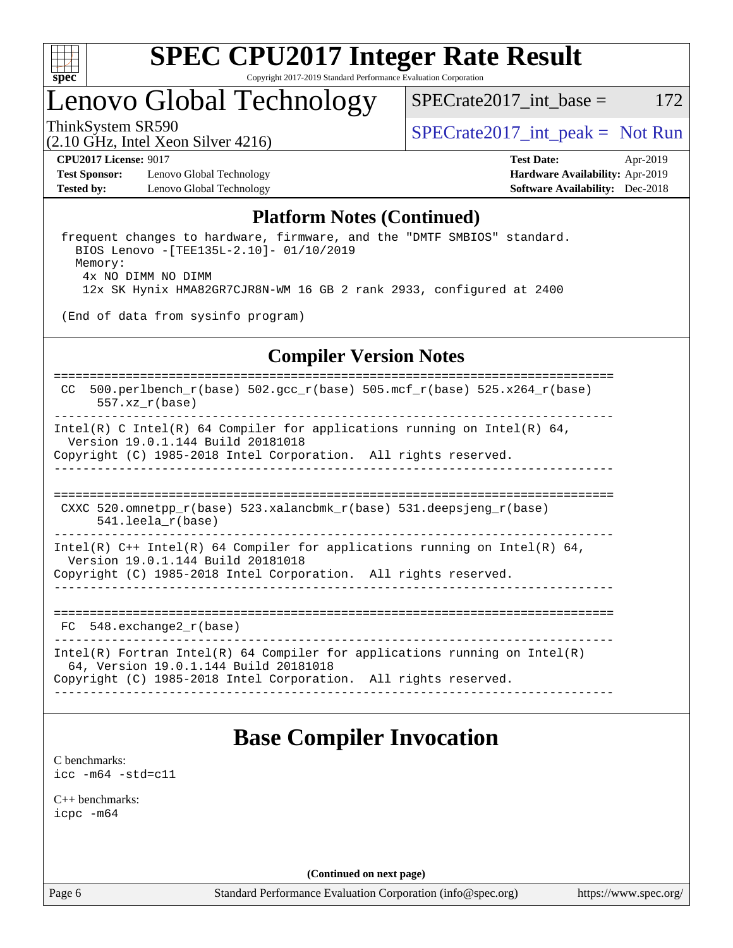

# Lenovo Global Technology

ThinkSystem SR590<br>  $SPECTR_{12}$  [SPECrate2017\\_int\\_peak =](http://www.spec.org/auto/cpu2017/Docs/result-fields.html#SPECrate2017intpeak) Not Run

 $SPECTate2017\_int\_base = 172$ 

(2.10 GHz, Intel Xeon Silver 4216)

**[Test Sponsor:](http://www.spec.org/auto/cpu2017/Docs/result-fields.html#TestSponsor)** Lenovo Global Technology **[Hardware Availability:](http://www.spec.org/auto/cpu2017/Docs/result-fields.html#HardwareAvailability)** Apr-2019 **[Tested by:](http://www.spec.org/auto/cpu2017/Docs/result-fields.html#Testedby)** Lenovo Global Technology **[Software Availability:](http://www.spec.org/auto/cpu2017/Docs/result-fields.html#SoftwareAvailability)** Dec-2018

**[CPU2017 License:](http://www.spec.org/auto/cpu2017/Docs/result-fields.html#CPU2017License)** 9017 **[Test Date:](http://www.spec.org/auto/cpu2017/Docs/result-fields.html#TestDate)** Apr-2019

## **[Platform Notes \(Continued\)](http://www.spec.org/auto/cpu2017/Docs/result-fields.html#PlatformNotes)**

 frequent changes to hardware, firmware, and the "DMTF SMBIOS" standard. BIOS Lenovo -[TEE135L-2.10]- 01/10/2019 Memory: 4x NO DIMM NO DIMM 12x SK Hynix HMA82GR7CJR8N-WM 16 GB 2 rank 2933, configured at 2400

(End of data from sysinfo program)

## **[Compiler Version Notes](http://www.spec.org/auto/cpu2017/Docs/result-fields.html#CompilerVersionNotes)**

```
==============================================================================
CC 500.perlbench_r(base) 502.\text{gcc\_r}(base) 505.\text{mcf\_r}(base) 525.\text{x}264_\text{r}(base)
      557.xz_r(base)
  ------------------------------------------------------------------------------
Intel(R) C Intel(R) 64 Compiler for applications running on Intel(R) 64,
  Version 19.0.1.144 Build 20181018
Copyright (C) 1985-2018 Intel Corporation. All rights reserved.
------------------------------------------------------------------------------
==============================================================================
CXXC 520.omnetpp r(base) 523.xalancbmk r(base) 531.deepsjeng r(base) 541.leela_r(base)
------------------------------------------------------------------------------
Intel(R) C_{++} Intel(R) 64 Compiler for applications running on Intel(R) 64,
  Version 19.0.1.144 Build 20181018
Copyright (C) 1985-2018 Intel Corporation. All rights reserved.
                    ------------------------------------------------------------------------------
==============================================================================
 FC 548.exchange2_r(base) 
------------------------------------------------------------------------------
Intel(R) Fortran Intel(R) 64 Compiler for applications running on Intel(R)
   64, Version 19.0.1.144 Build 20181018
Copyright (C) 1985-2018 Intel Corporation. All rights reserved.
------------------------------------------------------------------------------
```
## **[Base Compiler Invocation](http://www.spec.org/auto/cpu2017/Docs/result-fields.html#BaseCompilerInvocation)**

[C benchmarks](http://www.spec.org/auto/cpu2017/Docs/result-fields.html#Cbenchmarks): [icc -m64 -std=c11](http://www.spec.org/cpu2017/results/res2019q2/cpu2017-20190513-13758.flags.html#user_CCbase_intel_icc_64bit_c11_33ee0cdaae7deeeab2a9725423ba97205ce30f63b9926c2519791662299b76a0318f32ddfffdc46587804de3178b4f9328c46fa7c2b0cd779d7a61945c91cd35)

[C++ benchmarks:](http://www.spec.org/auto/cpu2017/Docs/result-fields.html#CXXbenchmarks) [icpc -m64](http://www.spec.org/cpu2017/results/res2019q2/cpu2017-20190513-13758.flags.html#user_CXXbase_intel_icpc_64bit_4ecb2543ae3f1412ef961e0650ca070fec7b7afdcd6ed48761b84423119d1bf6bdf5cad15b44d48e7256388bc77273b966e5eb805aefd121eb22e9299b2ec9d9)

**(Continued on next page)**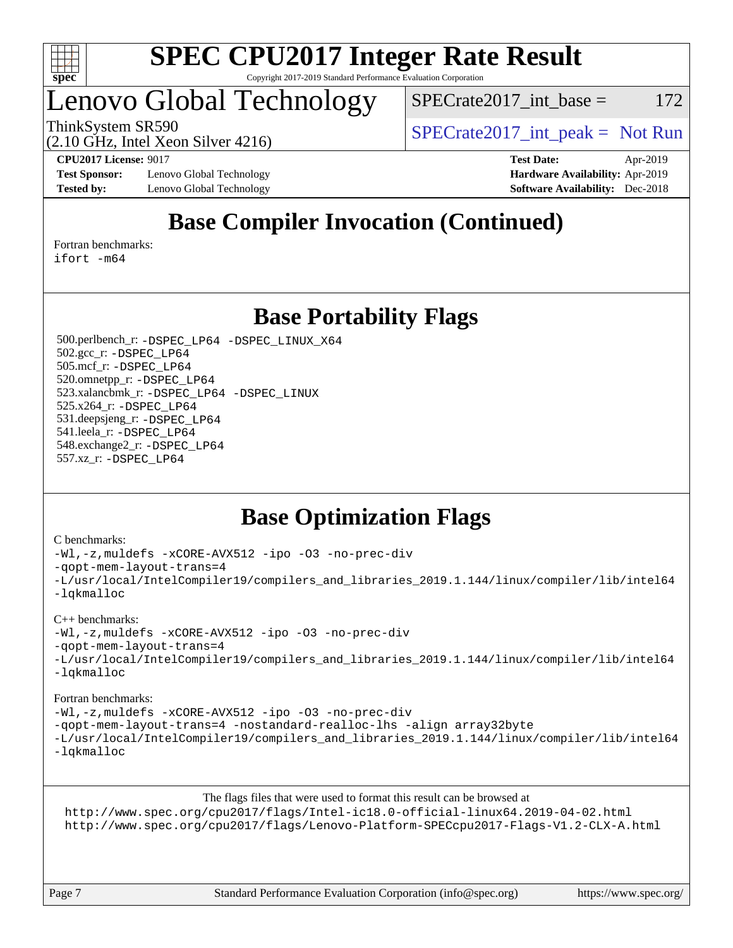

## Lenovo Global Technology

 $SPECTate2017\_int\_base = 172$ 

(2.10 GHz, Intel Xeon Silver 4216)

ThinkSystem SR590  $SPIz$ , Internal Vecent Silver 4216)

**[Test Sponsor:](http://www.spec.org/auto/cpu2017/Docs/result-fields.html#TestSponsor)** Lenovo Global Technology **[Hardware Availability:](http://www.spec.org/auto/cpu2017/Docs/result-fields.html#HardwareAvailability)** Apr-2019 **[Tested by:](http://www.spec.org/auto/cpu2017/Docs/result-fields.html#Testedby)** Lenovo Global Technology **[Software Availability:](http://www.spec.org/auto/cpu2017/Docs/result-fields.html#SoftwareAvailability)** Dec-2018

**[CPU2017 License:](http://www.spec.org/auto/cpu2017/Docs/result-fields.html#CPU2017License)** 9017 **[Test Date:](http://www.spec.org/auto/cpu2017/Docs/result-fields.html#TestDate)** Apr-2019

## **[Base Compiler Invocation \(Continued\)](http://www.spec.org/auto/cpu2017/Docs/result-fields.html#BaseCompilerInvocation)**

[Fortran benchmarks](http://www.spec.org/auto/cpu2017/Docs/result-fields.html#Fortranbenchmarks):

[ifort -m64](http://www.spec.org/cpu2017/results/res2019q2/cpu2017-20190513-13758.flags.html#user_FCbase_intel_ifort_64bit_24f2bb282fbaeffd6157abe4f878425411749daecae9a33200eee2bee2fe76f3b89351d69a8130dd5949958ce389cf37ff59a95e7a40d588e8d3a57e0c3fd751)

## **[Base Portability Flags](http://www.spec.org/auto/cpu2017/Docs/result-fields.html#BasePortabilityFlags)**

 500.perlbench\_r: [-DSPEC\\_LP64](http://www.spec.org/cpu2017/results/res2019q2/cpu2017-20190513-13758.flags.html#b500.perlbench_r_basePORTABILITY_DSPEC_LP64) [-DSPEC\\_LINUX\\_X64](http://www.spec.org/cpu2017/results/res2019q2/cpu2017-20190513-13758.flags.html#b500.perlbench_r_baseCPORTABILITY_DSPEC_LINUX_X64) 502.gcc\_r: [-DSPEC\\_LP64](http://www.spec.org/cpu2017/results/res2019q2/cpu2017-20190513-13758.flags.html#suite_basePORTABILITY502_gcc_r_DSPEC_LP64) 505.mcf\_r: [-DSPEC\\_LP64](http://www.spec.org/cpu2017/results/res2019q2/cpu2017-20190513-13758.flags.html#suite_basePORTABILITY505_mcf_r_DSPEC_LP64) 520.omnetpp\_r: [-DSPEC\\_LP64](http://www.spec.org/cpu2017/results/res2019q2/cpu2017-20190513-13758.flags.html#suite_basePORTABILITY520_omnetpp_r_DSPEC_LP64) 523.xalancbmk\_r: [-DSPEC\\_LP64](http://www.spec.org/cpu2017/results/res2019q2/cpu2017-20190513-13758.flags.html#suite_basePORTABILITY523_xalancbmk_r_DSPEC_LP64) [-DSPEC\\_LINUX](http://www.spec.org/cpu2017/results/res2019q2/cpu2017-20190513-13758.flags.html#b523.xalancbmk_r_baseCXXPORTABILITY_DSPEC_LINUX) 525.x264\_r: [-DSPEC\\_LP64](http://www.spec.org/cpu2017/results/res2019q2/cpu2017-20190513-13758.flags.html#suite_basePORTABILITY525_x264_r_DSPEC_LP64) 531.deepsjeng\_r: [-DSPEC\\_LP64](http://www.spec.org/cpu2017/results/res2019q2/cpu2017-20190513-13758.flags.html#suite_basePORTABILITY531_deepsjeng_r_DSPEC_LP64) 541.leela\_r: [-DSPEC\\_LP64](http://www.spec.org/cpu2017/results/res2019q2/cpu2017-20190513-13758.flags.html#suite_basePORTABILITY541_leela_r_DSPEC_LP64) 548.exchange2\_r: [-DSPEC\\_LP64](http://www.spec.org/cpu2017/results/res2019q2/cpu2017-20190513-13758.flags.html#suite_basePORTABILITY548_exchange2_r_DSPEC_LP64) 557.xz\_r: [-DSPEC\\_LP64](http://www.spec.org/cpu2017/results/res2019q2/cpu2017-20190513-13758.flags.html#suite_basePORTABILITY557_xz_r_DSPEC_LP64)

## **[Base Optimization Flags](http://www.spec.org/auto/cpu2017/Docs/result-fields.html#BaseOptimizationFlags)**

#### [C benchmarks](http://www.spec.org/auto/cpu2017/Docs/result-fields.html#Cbenchmarks):

[-Wl,-z,muldefs](http://www.spec.org/cpu2017/results/res2019q2/cpu2017-20190513-13758.flags.html#user_CCbase_link_force_multiple1_b4cbdb97b34bdee9ceefcfe54f4c8ea74255f0b02a4b23e853cdb0e18eb4525ac79b5a88067c842dd0ee6996c24547a27a4b99331201badda8798ef8a743f577) [-xCORE-AVX512](http://www.spec.org/cpu2017/results/res2019q2/cpu2017-20190513-13758.flags.html#user_CCbase_f-xCORE-AVX512) [-ipo](http://www.spec.org/cpu2017/results/res2019q2/cpu2017-20190513-13758.flags.html#user_CCbase_f-ipo) [-O3](http://www.spec.org/cpu2017/results/res2019q2/cpu2017-20190513-13758.flags.html#user_CCbase_f-O3) [-no-prec-div](http://www.spec.org/cpu2017/results/res2019q2/cpu2017-20190513-13758.flags.html#user_CCbase_f-no-prec-div) [-qopt-mem-layout-trans=4](http://www.spec.org/cpu2017/results/res2019q2/cpu2017-20190513-13758.flags.html#user_CCbase_f-qopt-mem-layout-trans_fa39e755916c150a61361b7846f310bcdf6f04e385ef281cadf3647acec3f0ae266d1a1d22d972a7087a248fd4e6ca390a3634700869573d231a252c784941a8) [-L/usr/local/IntelCompiler19/compilers\\_and\\_libraries\\_2019.1.144/linux/compiler/lib/intel64](http://www.spec.org/cpu2017/results/res2019q2/cpu2017-20190513-13758.flags.html#user_CCbase_qkmalloc_link_f25da0aa8cf9bced0533715046f0c2fbfb1a7191e3e496916672e09b4c388a884c4c7e4862cb529343da2264b43416df65c99fd1ddbf5dd13ae6d3130cf47881) [-lqkmalloc](http://www.spec.org/cpu2017/results/res2019q2/cpu2017-20190513-13758.flags.html#user_CCbase_qkmalloc_link_lib_79a818439969f771c6bc311cfd333c00fc099dad35c030f5aab9dda831713d2015205805422f83de8875488a2991c0a156aaa600e1f9138f8fc37004abc96dc5)

#### [C++ benchmarks](http://www.spec.org/auto/cpu2017/Docs/result-fields.html#CXXbenchmarks):

[-Wl,-z,muldefs](http://www.spec.org/cpu2017/results/res2019q2/cpu2017-20190513-13758.flags.html#user_CXXbase_link_force_multiple1_b4cbdb97b34bdee9ceefcfe54f4c8ea74255f0b02a4b23e853cdb0e18eb4525ac79b5a88067c842dd0ee6996c24547a27a4b99331201badda8798ef8a743f577) [-xCORE-AVX512](http://www.spec.org/cpu2017/results/res2019q2/cpu2017-20190513-13758.flags.html#user_CXXbase_f-xCORE-AVX512) [-ipo](http://www.spec.org/cpu2017/results/res2019q2/cpu2017-20190513-13758.flags.html#user_CXXbase_f-ipo) [-O3](http://www.spec.org/cpu2017/results/res2019q2/cpu2017-20190513-13758.flags.html#user_CXXbase_f-O3) [-no-prec-div](http://www.spec.org/cpu2017/results/res2019q2/cpu2017-20190513-13758.flags.html#user_CXXbase_f-no-prec-div)

[-qopt-mem-layout-trans=4](http://www.spec.org/cpu2017/results/res2019q2/cpu2017-20190513-13758.flags.html#user_CXXbase_f-qopt-mem-layout-trans_fa39e755916c150a61361b7846f310bcdf6f04e385ef281cadf3647acec3f0ae266d1a1d22d972a7087a248fd4e6ca390a3634700869573d231a252c784941a8)

```
-L/usr/local/IntelCompiler19/compilers_and_libraries_2019.1.144/linux/compiler/lib/intel64
-lqkmalloc
```
#### [Fortran benchmarks](http://www.spec.org/auto/cpu2017/Docs/result-fields.html#Fortranbenchmarks):

[-Wl,-z,muldefs](http://www.spec.org/cpu2017/results/res2019q2/cpu2017-20190513-13758.flags.html#user_FCbase_link_force_multiple1_b4cbdb97b34bdee9ceefcfe54f4c8ea74255f0b02a4b23e853cdb0e18eb4525ac79b5a88067c842dd0ee6996c24547a27a4b99331201badda8798ef8a743f577) [-xCORE-AVX512](http://www.spec.org/cpu2017/results/res2019q2/cpu2017-20190513-13758.flags.html#user_FCbase_f-xCORE-AVX512) [-ipo](http://www.spec.org/cpu2017/results/res2019q2/cpu2017-20190513-13758.flags.html#user_FCbase_f-ipo) [-O3](http://www.spec.org/cpu2017/results/res2019q2/cpu2017-20190513-13758.flags.html#user_FCbase_f-O3) [-no-prec-div](http://www.spec.org/cpu2017/results/res2019q2/cpu2017-20190513-13758.flags.html#user_FCbase_f-no-prec-div) [-qopt-mem-layout-trans=4](http://www.spec.org/cpu2017/results/res2019q2/cpu2017-20190513-13758.flags.html#user_FCbase_f-qopt-mem-layout-trans_fa39e755916c150a61361b7846f310bcdf6f04e385ef281cadf3647acec3f0ae266d1a1d22d972a7087a248fd4e6ca390a3634700869573d231a252c784941a8) [-nostandard-realloc-lhs](http://www.spec.org/cpu2017/results/res2019q2/cpu2017-20190513-13758.flags.html#user_FCbase_f_2003_std_realloc_82b4557e90729c0f113870c07e44d33d6f5a304b4f63d4c15d2d0f1fab99f5daaed73bdb9275d9ae411527f28b936061aa8b9c8f2d63842963b95c9dd6426b8a) [-align array32byte](http://www.spec.org/cpu2017/results/res2019q2/cpu2017-20190513-13758.flags.html#user_FCbase_align_array32byte_b982fe038af199962ba9a80c053b8342c548c85b40b8e86eb3cc33dee0d7986a4af373ac2d51c3f7cf710a18d62fdce2948f201cd044323541f22fc0fffc51b6) [-L/usr/local/IntelCompiler19/compilers\\_and\\_libraries\\_2019.1.144/linux/compiler/lib/intel64](http://www.spec.org/cpu2017/results/res2019q2/cpu2017-20190513-13758.flags.html#user_FCbase_qkmalloc_link_f25da0aa8cf9bced0533715046f0c2fbfb1a7191e3e496916672e09b4c388a884c4c7e4862cb529343da2264b43416df65c99fd1ddbf5dd13ae6d3130cf47881) [-lqkmalloc](http://www.spec.org/cpu2017/results/res2019q2/cpu2017-20190513-13758.flags.html#user_FCbase_qkmalloc_link_lib_79a818439969f771c6bc311cfd333c00fc099dad35c030f5aab9dda831713d2015205805422f83de8875488a2991c0a156aaa600e1f9138f8fc37004abc96dc5)

The flags files that were used to format this result can be browsed at

<http://www.spec.org/cpu2017/flags/Intel-ic18.0-official-linux64.2019-04-02.html> <http://www.spec.org/cpu2017/flags/Lenovo-Platform-SPECcpu2017-Flags-V1.2-CLX-A.html>